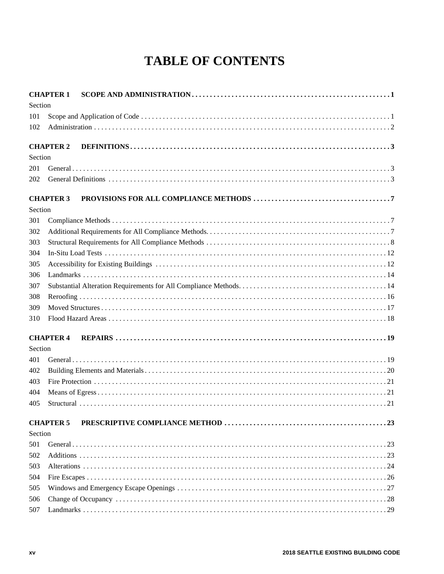## **TABLE OF CONTENTS**

| <b>CHAPTER 1</b> |                  |  |
|------------------|------------------|--|
| Section          |                  |  |
| 101              |                  |  |
| 102              |                  |  |
|                  | <b>CHAPTER 2</b> |  |
| Section          |                  |  |
| 201              |                  |  |
| 202              |                  |  |
|                  | <b>CHAPTER 3</b> |  |
| Section          |                  |  |
| 301              |                  |  |
| 302              |                  |  |
| 303              |                  |  |
| 304              |                  |  |
| 305              |                  |  |
| 306              |                  |  |
| 307              |                  |  |
| 308              |                  |  |
| 309              |                  |  |
| 310              |                  |  |
|                  | <b>CHAPTER 4</b> |  |
| Section          |                  |  |
| 401              |                  |  |
| 402              |                  |  |
| 403              |                  |  |
| 404              |                  |  |
| 405              |                  |  |
|                  | <b>CHAPTER 5</b> |  |
| Section          |                  |  |
| 501              |                  |  |
| 502              |                  |  |
| 503              |                  |  |
| 504              |                  |  |
| 505              |                  |  |
| 506              |                  |  |
| 507              |                  |  |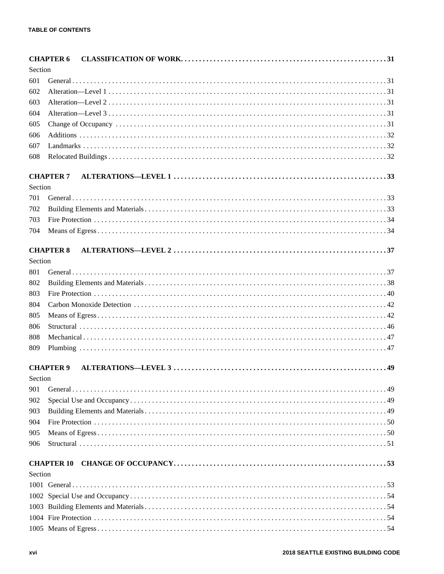|         | <b>CHAPTER 6</b> |  |
|---------|------------------|--|
| Section |                  |  |
| 601     |                  |  |
| 602     |                  |  |
| 603     |                  |  |
| 604     |                  |  |
| 605     |                  |  |
| 606     |                  |  |
| 607     |                  |  |
| 608     |                  |  |
|         |                  |  |
|         | <b>CHAPTER 7</b> |  |
| Section |                  |  |
| 701     |                  |  |
| 702     |                  |  |
| 703     |                  |  |
| 704     |                  |  |
|         | <b>CHAPTER 8</b> |  |
| Section |                  |  |
| 801     |                  |  |
| 802     |                  |  |
| 803     |                  |  |
| 804     |                  |  |
| 805     |                  |  |
| 806     |                  |  |
| 808     |                  |  |
| 809     |                  |  |
|         |                  |  |
|         | <b>CHAPTER 9</b> |  |
| Section |                  |  |
| 901     |                  |  |
| 902     |                  |  |
| 903     |                  |  |
| 904     |                  |  |
| 905     |                  |  |
| 906     |                  |  |
|         |                  |  |
| Section |                  |  |
|         |                  |  |
|         |                  |  |
|         |                  |  |
|         |                  |  |
|         |                  |  |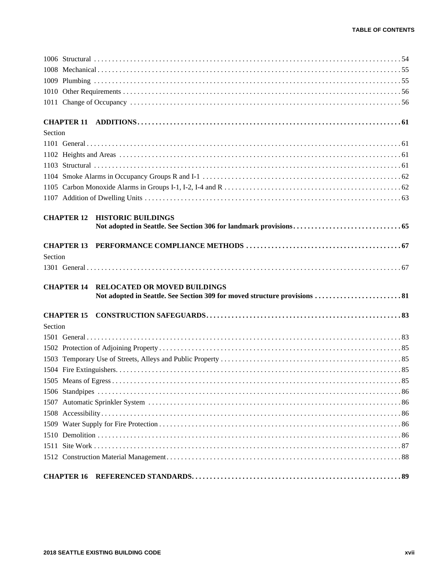| Section                                                  |
|----------------------------------------------------------|
|                                                          |
|                                                          |
|                                                          |
|                                                          |
|                                                          |
|                                                          |
| <b>HISTORIC BUILDINGS</b><br><b>CHAPTER 12</b>           |
|                                                          |
| <b>CHAPTER 13</b>                                        |
| Section                                                  |
|                                                          |
| <b>RELOCATED OR MOVED BUILDINGS</b><br><b>CHAPTER 14</b> |
|                                                          |
| <b>CHAPTER 15</b>                                        |
| Section                                                  |
|                                                          |
|                                                          |
|                                                          |
|                                                          |
|                                                          |
|                                                          |
|                                                          |
|                                                          |
|                                                          |
|                                                          |
|                                                          |
|                                                          |
|                                                          |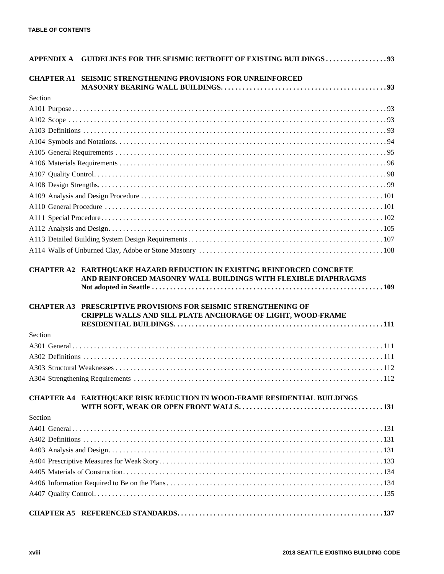|         | APPENDIX A GUIDELINES FOR THE SEISMIC RETROFIT OF EXISTING BUILDINGS 93                                                               |  |  |  |  |  |
|---------|---------------------------------------------------------------------------------------------------------------------------------------|--|--|--|--|--|
|         | <b>CHAPTER A1 SEISMIC STRENGTHENING PROVISIONS FOR UNREINFORCED</b>                                                                   |  |  |  |  |  |
| Section |                                                                                                                                       |  |  |  |  |  |
|         |                                                                                                                                       |  |  |  |  |  |
|         |                                                                                                                                       |  |  |  |  |  |
|         |                                                                                                                                       |  |  |  |  |  |
|         |                                                                                                                                       |  |  |  |  |  |
|         |                                                                                                                                       |  |  |  |  |  |
|         |                                                                                                                                       |  |  |  |  |  |
|         |                                                                                                                                       |  |  |  |  |  |
|         |                                                                                                                                       |  |  |  |  |  |
|         |                                                                                                                                       |  |  |  |  |  |
|         |                                                                                                                                       |  |  |  |  |  |
|         |                                                                                                                                       |  |  |  |  |  |
|         |                                                                                                                                       |  |  |  |  |  |
|         |                                                                                                                                       |  |  |  |  |  |
|         |                                                                                                                                       |  |  |  |  |  |
|         | <b>CHAPTER A3 PRESCRIPTIVE PROVISIONS FOR SEISMIC STRENGTHENING OF</b><br>CRIPPLE WALLS AND SILL PLATE ANCHORAGE OF LIGHT, WOOD-FRAME |  |  |  |  |  |
|         |                                                                                                                                       |  |  |  |  |  |
| Section |                                                                                                                                       |  |  |  |  |  |
|         |                                                                                                                                       |  |  |  |  |  |
|         |                                                                                                                                       |  |  |  |  |  |
|         |                                                                                                                                       |  |  |  |  |  |
|         |                                                                                                                                       |  |  |  |  |  |
|         | CHAPTER A4 EARTHQUAKE RISK REDUCTION IN WOOD-FRAME RESIDENTIAL BUILDINGS                                                              |  |  |  |  |  |
| Section |                                                                                                                                       |  |  |  |  |  |
|         |                                                                                                                                       |  |  |  |  |  |
|         |                                                                                                                                       |  |  |  |  |  |
|         |                                                                                                                                       |  |  |  |  |  |
|         |                                                                                                                                       |  |  |  |  |  |
|         |                                                                                                                                       |  |  |  |  |  |
|         |                                                                                                                                       |  |  |  |  |  |
|         |                                                                                                                                       |  |  |  |  |  |
|         |                                                                                                                                       |  |  |  |  |  |